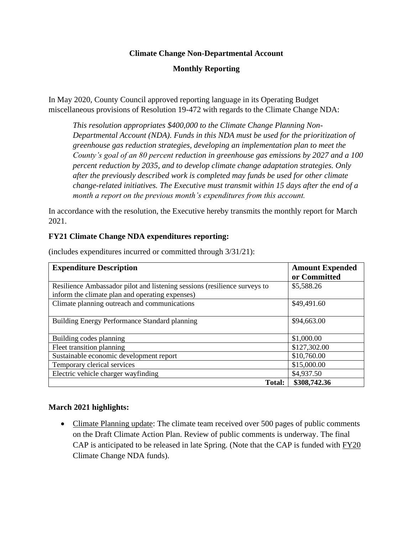# **Climate Change Non-Departmental Account**

# **Monthly Reporting**

In May 2020, County Council approved reporting language in its Operating Budget miscellaneous provisions of Resolution 19-472 with regards to the Climate Change NDA:

*This resolution appropriates \$400,000 to the Climate Change Planning Non-Departmental Account (NDA). Funds in this NDA must be used for the prioritization of greenhouse gas reduction strategies, developing an implementation plan to meet the County's goal of an 80 percent reduction in greenhouse gas emissions by 2027 and a 100 percent reduction by 2035, and to develop climate change adaptation strategies. Only after the previously described work is completed may funds be used for other climate change-related initiatives. The Executive must transmit within 15 days after the end of a month a report on the previous month's expenditures from this account.*

In accordance with the resolution, the Executive hereby transmits the monthly report for March 2021.

### **FY21 Climate Change NDA expenditures reporting:**

| <b>Expenditure Description</b>                                            | <b>Amount Expended</b> |
|---------------------------------------------------------------------------|------------------------|
|                                                                           | or Committed           |
| Resilience Ambassador pilot and listening sessions (resilience surveys to | \$5,588.26             |
| inform the climate plan and operating expenses)                           |                        |
| Climate planning outreach and communications                              | \$49,491.60            |
|                                                                           |                        |
| Building Energy Performance Standard planning                             | \$94,663.00            |
|                                                                           |                        |
| Building codes planning                                                   | \$1,000.00             |
| Fleet transition planning                                                 | \$127,302.00           |
| Sustainable economic development report                                   | \$10,760.00            |
| Temporary clerical services                                               | \$15,000.00            |
| Electric vehicle charger wayfinding                                       | \$4,937.50             |
| <b>Total:</b>                                                             | \$308,742.36           |

(includes expenditures incurred or committed through 3/31/21):

#### **March 2021 highlights:**

• Climate Planning update: The climate team received over 500 pages of public comments on the Draft Climate Action Plan. Review of public comments is underway. The final CAP is anticipated to be released in late Spring. (Note that the CAP is funded with FY20 Climate Change NDA funds).